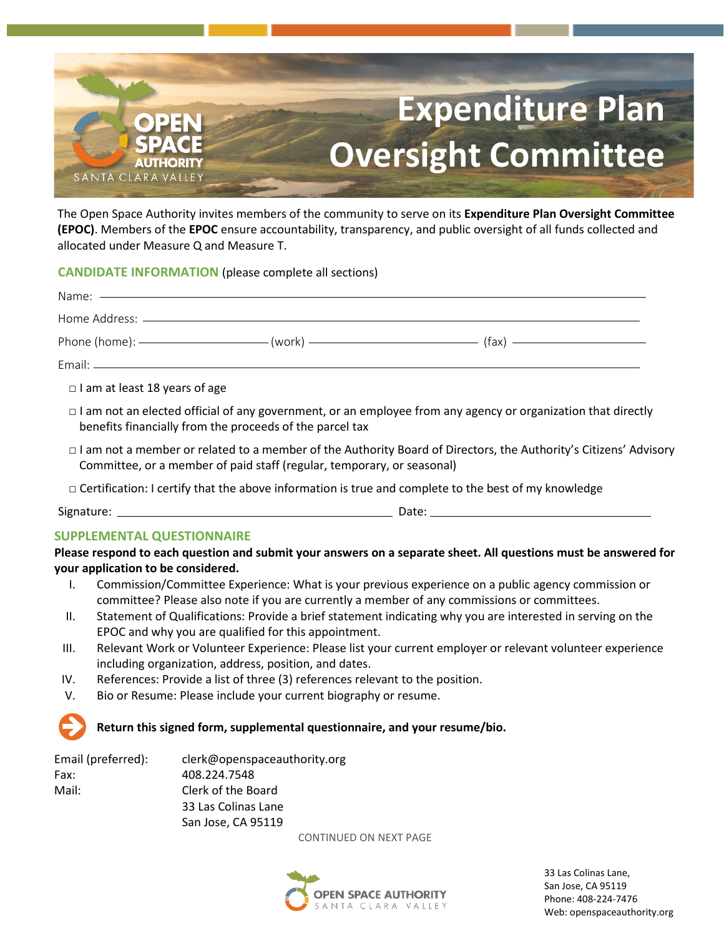

The Open Space Authority invites members of the community to serve on its **Expenditure Plan Oversight Committee (EPOC)**. Members of the **EPOC** ensure accountability, transparency, and public oversight of all funds collected and allocated under Measure Q and Measure T.

**CANDIDATE INFORMATION** (please complete all sections)

|                                      |                                                                        | Phone (home): $\frac{1}{2}$ (work) $\frac{1}{2}$ (fax) $\frac{1}{2}$ (fax)                                          |  |
|--------------------------------------|------------------------------------------------------------------------|---------------------------------------------------------------------------------------------------------------------|--|
|                                      |                                                                        |                                                                                                                     |  |
| $\Box$ I am at least 18 years of age |                                                                        |                                                                                                                     |  |
|                                      | benefits financially from the proceeds of the parcel tax               | $\Box$ I am not an elected official of any government, or an employee from any agency or organization that directly |  |
|                                      | Committee, or a member of paid staff (regular, temporary, or seasonal) | □ I am not a member or related to a member of the Authority Board of Directors, the Authority's Citizens' Advisory  |  |
|                                      |                                                                        | $\Box$ Certification: I certify that the above information is true and complete to the best of my knowledge         |  |
|                                      |                                                                        |                                                                                                                     |  |
| <b>SUPPLEMENTAL QUESTIONNAIRE</b>    |                                                                        |                                                                                                                     |  |
| your application to be considered.   |                                                                        | Please respond to each question and submit your answers on a separate sheet. All questions must be answered for     |  |
|                                      |                                                                        | I. Commission/Committee Experience: What is your previous experience on a public agency commission or               |  |

- committee? Please also note if you are currently a member of any commissions or committees.
- II. Statement of Qualifications: Provide a brief statement indicating why you are interested in serving on the EPOC and why you are qualified for this appointment.
- III. Relevant Work or Volunteer Experience: Please list your current employer or relevant volunteer experience including organization, address, position, and dates.
- IV. References: Provide a list of three (3) references relevant to the position.
- V. Bio or Resume: Please include your current biography or resume.

## **Return this signed form, supplemental questionnaire, and your resume/bio.**

| Email (preferred): | clerk@openspaceauthority.org |
|--------------------|------------------------------|
| Fax:               | 408.224.7548                 |
| Mail:              | Clerk of the Board           |
|                    | 33 Las Colinas Lane          |
|                    | San Jose, CA 95119           |

CONTINUED ON NEXT PAGE



33 Las Colinas Lane, San Jose, CA 95119 Phone: 408-224-7476 Web: openspaceauthority.org